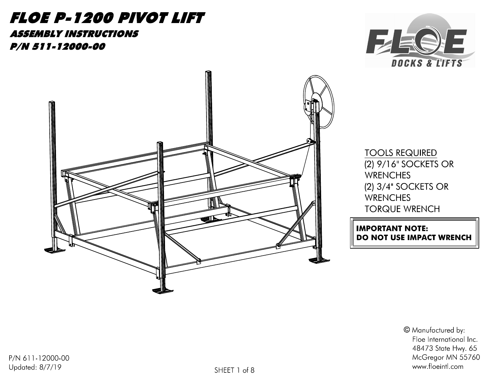## **FLOE P-1200 PIVOT LIFT**

**ASSEMBLY INSTRUCTIONS P/N 511-12000-00** 





**TOOLS REQUIRED** (2) 9/16" SOCKETS OR **WRENCHES** (2) 3/4" SOCKETS OR **WRENCHES TORQUE WRENCH** 

**IMPORTANT NOTE: DO NOT USE IMPACT WRENCH** 

> © Manufactured by: Floe International Inc. 48473 State Hwy. 65 McGregor MN 55760 www.floeintl.com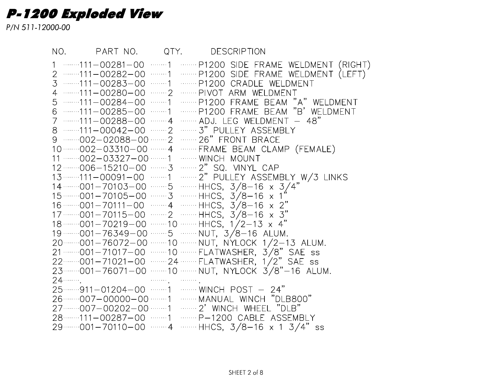P-1200 Exploded View

P/N 511-12000-00

| NO. PART NO. QTY. DESCRIPTION    |  |                                                                                                                                                                                                                                        |  |
|----------------------------------|--|----------------------------------------------------------------------------------------------------------------------------------------------------------------------------------------------------------------------------------------|--|
|                                  |  | 1 -------111-00281-00 -------1 ------- P1200 SIDE FRAME WELDMENT (RIGHT)                                                                                                                                                               |  |
|                                  |  | 2 -------111-00282-00 -------1 ------- P1200 SIDE FRAME WELDMENT (LEFT)                                                                                                                                                                |  |
|                                  |  | 3 -------111-00283-00 --------1 -------- P1200 CRADLE WELDMENT                                                                                                                                                                         |  |
|                                  |  | 4 -------111-00280-00 ------- 2 -------- PIVOT ARM WELDMENT                                                                                                                                                                            |  |
|                                  |  | 5 ------111-00284-00 -------1 ------- P1200 FRAME BEAM "A" WELDMENT<br>6 -------111-00285-00 -------1 ------- P1200 FRAME BEAM "B' WELDMENT                                                                                            |  |
|                                  |  |                                                                                                                                                                                                                                        |  |
|                                  |  | 7 -------111-00288-00 ------- 4 ------- ADJ. LEG WELDMENT - 48"                                                                                                                                                                        |  |
|                                  |  | 8 -------111-00042-00 -------- 2 -------- 3" PULLEY ASSEMBLY                                                                                                                                                                           |  |
|                                  |  | 9 002-02088-00  2  26" FRONT BRACE                                                                                                                                                                                                     |  |
|                                  |  | 10 002-03310-00  4  FRAME BEAM CLAMP (FEMALE)                                                                                                                                                                                          |  |
| 11  002-03327-00  1  WINCH MOUNT |  |                                                                                                                                                                                                                                        |  |
|                                  |  | 12 ------006-15210-00 ------ 3 ------- 2" SQ. VINYL CAP<br>13 ------111-00091-00 ------- 1 ------ 2" PULLEY ASSEMBLY W/3 LINKS<br>14 -------001-70103-00 ------ 5 ------ HHCS, 3/8-16 x 3/4"<br>15 --------001-70105-00 ------ 3 ----- |  |
|                                  |  |                                                                                                                                                                                                                                        |  |
|                                  |  |                                                                                                                                                                                                                                        |  |
|                                  |  |                                                                                                                                                                                                                                        |  |
|                                  |  | 16 ------ 001-70111-00 ------- 4 ------- HHCS, $3/8-16 \times 2$ "                                                                                                                                                                     |  |
|                                  |  | 17 ------ 001-70115-00 ------- 2 ------- HHCS, $3/8-16 \times 3$ "                                                                                                                                                                     |  |
|                                  |  | 18 001-70219-00 10  HHCS, 1/2-13 x 4"                                                                                                                                                                                                  |  |
|                                  |  | $19 \dots 001 - 76349 - 00 \dots 5 \dots 101, 3/8 - 16$ ALUM.                                                                                                                                                                          |  |
|                                  |  | 20 001-76072-00 000000 NUT, NYLOCK 1/2-13 ALUM.                                                                                                                                                                                        |  |
|                                  |  | 21  001-71017-00  10  FLATWASHER, 3/8" SAE ss                                                                                                                                                                                          |  |
|                                  |  | 22  001 - 71021 - 00  24  FLATWASHER, 1/2" SAE ss                                                                                                                                                                                      |  |
|                                  |  | 23  001 - 76071 - 00  10  NUT, NYLOCK 3/8"-16 ALUM.                                                                                                                                                                                    |  |
|                                  |  |                                                                                                                                                                                                                                        |  |
|                                  |  | 25  911 - 01204 - 00  1  WINCH POST - 24"                                                                                                                                                                                              |  |
|                                  |  | 26 007-00000-00 30 0000 MANUAL WINCH "DLB800"                                                                                                                                                                                          |  |
|                                  |  | 27  007 - 00202 - 00  1  2' WINCH WHEEL "DLB"                                                                                                                                                                                          |  |
|                                  |  | 28  111-00287-00  1  P-1200 CABLE ASSEMBLY                                                                                                                                                                                             |  |
|                                  |  | 29 001-70110-00  4  HHCS, 3/8-16 x 1 3/4" ss                                                                                                                                                                                           |  |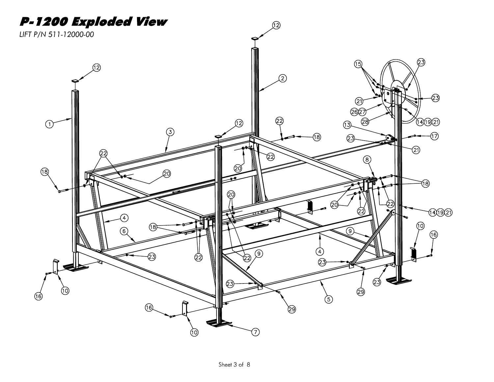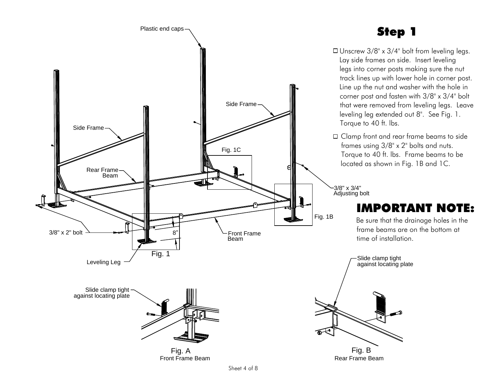

## Step 1

- Unscrew 3/8" x 3/4" bolt from leveling legs. Lay side frames on side. Insert leveling Lay side frames on side. Insert leveling<br>legs into corner posts making sure the nut Lay side trames on side. Insert leveling<br>legs into corner posts making sure the nut<br>track lines up with lower hole in corner post.<br>Line up the nut and washer with the hole in Line up the nut and washer with the hole in<br>corner post and fasten with  $3/8" \times 3/4"$  bolt track tines up with lower note in corner post.<br>Line up the nut and washer with the hole in<br>corner post and fasten with 3/8" x 3/4" bolt<br>that were removed from leveling legs. Leave that were removed from leveling legs. L<br>leveling leg extended out 8". See Fig. 1. leveling leg extended out 8". See Fig. 1.<br>Torque to 40 ft. lbs. eveling leg extended out 8". See Fig. 1.<br>Forque to 40 ft. lbs.<br>Clamp front and rear frame beams to side
- Clamp front and rear frame beams to si<mark>c</mark><br>frames using 3/8" x 2" bolts and nuts.<br>Torque to 40 ft. lbs. Frame beams to be Torque to 40 ft. lbs. Frame beams to be located as shown in Fig. 1B and 1C.

## 3/8" x 3/4"

# Be sure that the drainage holes in the<br>Be sure that the drainage holes in the

Be sure that the drainage holes in the<br>frame beams are on the bottom at **IMPORTANT NOTE:**<br>Be sure that the drainage holes in the<br>frame beams are on the bottom at<br>time of installation.

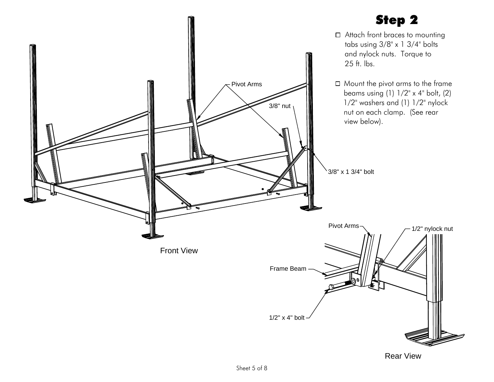

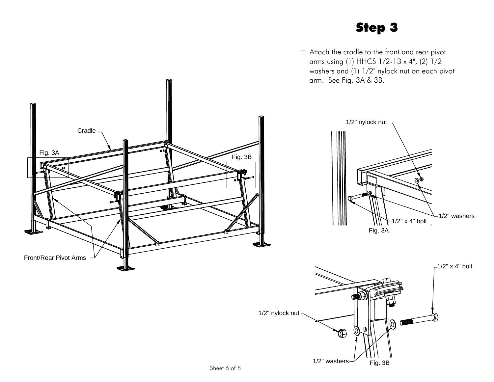## Step 3



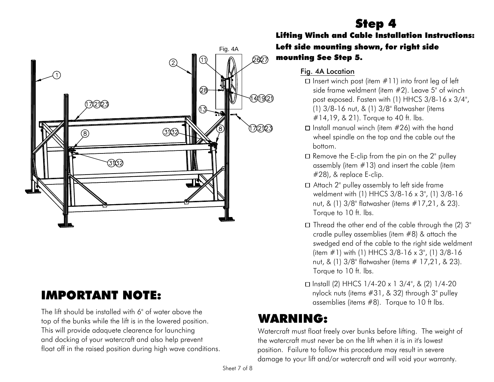### Step 4



## Lifting Winch and Cable Installation Instructions: Left side mounting shown, for right side<br>mounting See Step 5.

- **Fig. 4A Location**<br>  $\Box$  Insert winch post (item #11) into front leg of left **4A Location**<br>Insert winch post (item #11) into front leg of left<br>side frame weldment (item #2). Leave 5" of winch side frame weldment (item #2). Leave 5" of winch<br>post exposed. Fasten with (1) HHCS 3/8-16 x 3/4", side trame weldment (item #2). Leave 5" o<br>post exposed. Fasten with (1) HHCS 3/8-1،<br>(1) 3/8-16 nut, & (1) 3/8" flatwasher (items .<br>(1) 3/8-16 nut, & (1) 3/8" flatwasher<br>#14,19, & 21). Torque to 40 ft. lbs. post exposed. Fasten with (1) HHCS 3/8-16 x<br>(1) 3/8-16 nut, & (1) 3/8" flatwasher (items<br>#14,19, & 21). Torque to 40 ft. lbs.<br>Install manual winch (item #26) with the hand
- (1) 3/8-10 hor, & (1) 3/8-halwasher (nems<br>#14,19, & 21). Torque to 40 ft. lbs.<br>Install manual winch (item #26) with the hand<br>wheel spindle on the top and the cable out the wheel <mark>s</mark><br>bottom. bottom.<br>  $\square$  Remove the E-clip from the pin on the 2" pulley as the case of the mass.<br>Install manual winch (item #26) with the hand<br>wheel spindle on the top and the cable out the<br>bottom.<br>Remove the E-clip from the pin on the 2" pulley<br>assembly (item #13) and insert the cable (item
- kemove me L-chp nom me pm on me 2-pi<br>assembly (item #13) and insert the cable (i<br>#28), & replace E-clip.<br>Attach 2" pulley assembly to left side frame
- assembly (item #13) and insert the cable (item<br>#28), & replace E-clip.<br>Attach 2" pulley assembly to left side frame<br>weldment with (1) HHCS 3/8-16 x 3", (1) 3/8-16 weldment with (1) HHCS 3/8-16 x 3", (1) 3/8-1<br>nut, & (1) 3/8" flatwasher (items #17,21, & 23). nut, & (1)  $3/8$ " flatwasher (items  $\#17,21$ , & 23).<br>Torque to 10 ft. lbs.
- Torque to 10 ft. lbs.<br>Thread the other end of the cable through the (2) 3"<br>cradle pulley assemblies (item #8) & attach the cradle pulley assemblies (item #8) & attach the<br>swedged end of the cable to the right side weldment Thread the other end of the cable through the  $(2)$ <br>cradle pulley assemblies (item  $\#8$ ) & attach the<br>swedged end of the cable to the right side weldn<br>(item  $\#1$ ) with (1) HHCS 3/8-16 x 3", (1) 3/8-16 (item #1) with (1) HHCS  $3/8-16 \times 3$ ", (1)  $3/8-16$  nut, & (1)  $3/8$ " flatwasher (items # 17,21, & 23). Torque to 10 ft. lbs. (item #1) with (1) HHCS 3/8-16 x 3", (1) 3/8-1<br>nut, & (1) 3/8" flatwasher (items # 17,21, & 23<br>Torque to 10 ft. lbs.<br>Install (2) HHCS 1/4-20 x 1 3/4", & (2) 1/4-20
- norque to 10 tt. ibs.<br>Install (2) HHCS 1/4-20 x 1 3/4", & (2) 1/4-20<br>nylock nuts (items #31, & 32) through 3" pulley nylock nuts (items  $#31$ , & 32) through 3" pulley assemblies (items  $#8$ ). Torque to 10 ft lbs.